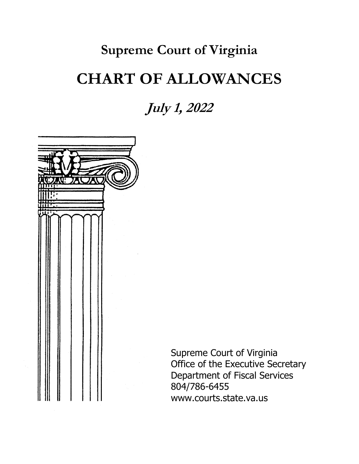# **Supreme Court of Virginia CHART OF ALLOWANCES**

**July 1, 2022**



Supreme Court of Virginia Office of the Executive Secretary Department of Fiscal Services 804/786-6455 www.courts.state.va.us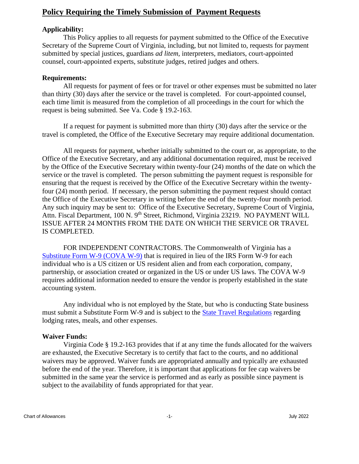# **Policy Requiring the Timely Submission of Payment Requests**

## **Applicability:**

This Policy applies to all requests for payment submitted to the Office of the Executive Secretary of the Supreme Court of Virginia, including, but not limited to, requests for payment submitted by special justices, guardians *ad litem,* interpreters, mediators, court-appointed counsel, court-appointed experts, substitute judges, retired judges and others.

#### **Requirements:**

All requests for payment of fees or for travel or other expenses must be submitted no later than thirty (30) days after the service or the travel is completed. For court-appointed counsel, each time limit is measured from the completion of all proceedings in the court for which the request is being submitted. See Va. Code § 19.2-163.

If a request for payment is submitted more than thirty (30) days after the service or the travel is completed, the Office of the Executive Secretary may require additional documentation.

All requests for payment, whether initially submitted to the court or, as appropriate, to the Office of the Executive Secretary, and any additional documentation required, must be received by the Office of the Executive Secretary within twenty-four (24) months of the date on which the service or the travel is completed. The person submitting the payment request is responsible for ensuring that the request is received by the Office of the Executive Secretary within the twentyfour (24) month period. If necessary, the person submitting the payment request should contact the Office of the Executive Secretary in writing before the end of the twenty-four month period. Any such inquiry may be sent to: Office of the Executive Secretary, Supreme Court of Virginia, Attn. Fiscal Department, 100 N. 9<sup>th</sup> Street, Richmond, Virginia 23219. NO PAYMENT WILL ISSUE AFTER 24 MONTHS FROM THE DATE ON WHICH THE SERVICE OR TRAVEL IS COMPLETED.

FOR INDEPENDENT CONTRACTORS. The Commonwealth of Virginia has a [Substitute Form W-9 \(COVA W-9\)](https://www.doa.virginia.gov/forms/CVG/W9_COVSubstitute.pdf) that is required in lieu of the IRS Form W-9 for each individual who is a US citizen or US resident alien and from each corporation, company, partnership, or association created or organized in the US or under US laws. The COVA W-9 requires additional information needed to ensure the vendor is properly established in the state accounting system.

Any individual who is not employed by the State, but who is conducting State business must submit a Substitute Form W-9 and is subject to the [State Travel Regulations](https://www.doa.virginia.gov/reference/CAPP/CAPP_Topics_Cardinal/20335-2015-Dec.pdf) regarding lodging rates, meals, and other expenses.

## **Waiver Funds:**

Virginia Code § 19.2-163 provides that if at any time the funds allocated for the waivers are exhausted, the Executive Secretary is to certify that fact to the courts, and no additional waivers may be approved. Waiver funds are appropriated annually and typically are exhausted before the end of the year. Therefore, it is important that applications for fee cap waivers be submitted in the same year the service is performed and as early as possible since payment is subject to the availability of funds appropriated for that year.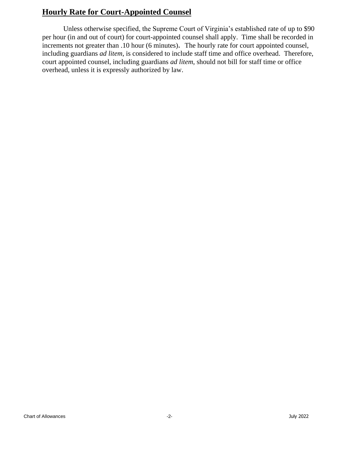# **Hourly Rate for Court-Appointed Counsel**

Unless otherwise specified, the Supreme Court of Virginia's established rate of up to \$90 per hour (in and out of court) for court-appointed counsel shall apply. Time shall be recorded in increments not greater than .10 hour (6 minutes). The hourly rate for court appointed counsel, including guardians *ad litem*, is considered to include staff time and office overhead. Therefore, court appointed counsel, including guardians *ad litem*, should not bill for staff time or office overhead, unless it is expressly authorized by law.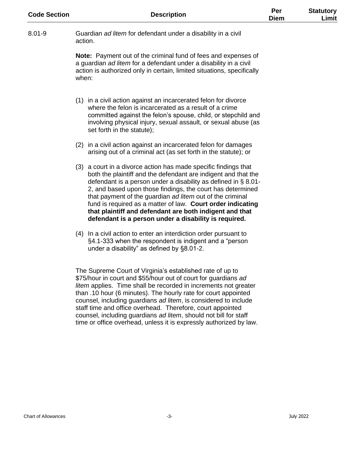| <b>Code Section</b> | <b>Description</b>                                                                                                                                                                                                                                                                                                                                                                                                                                                                                                | Per<br><b>Diem</b> | <b>Statutory</b><br>Limit |
|---------------------|-------------------------------------------------------------------------------------------------------------------------------------------------------------------------------------------------------------------------------------------------------------------------------------------------------------------------------------------------------------------------------------------------------------------------------------------------------------------------------------------------------------------|--------------------|---------------------------|
| $8.01 - 9$          | Guardian ad litem for defendant under a disability in a civil<br>action.                                                                                                                                                                                                                                                                                                                                                                                                                                          |                    |                           |
|                     | Note: Payment out of the criminal fund of fees and expenses of<br>a guardian ad litem for a defendant under a disability in a civil<br>action is authorized only in certain, limited situations, specifically<br>when:                                                                                                                                                                                                                                                                                            |                    |                           |
|                     | (1) in a civil action against an incarcerated felon for divorce<br>where the felon is incarcerated as a result of a crime<br>committed against the felon's spouse, child, or stepchild and<br>involving physical injury, sexual assault, or sexual abuse (as<br>set forth in the statute);                                                                                                                                                                                                                        |                    |                           |
|                     | (2) in a civil action against an incarcerated felon for damages<br>arising out of a criminal act (as set forth in the statute); or                                                                                                                                                                                                                                                                                                                                                                                |                    |                           |
|                     | (3) a court in a divorce action has made specific findings that<br>both the plaintiff and the defendant are indigent and that the<br>defendant is a person under a disability as defined in § 8.01-<br>2, and based upon those findings, the court has determined<br>that payment of the guardian ad litem out of the criminal<br>fund is required as a matter of law. Court order indicating<br>that plaintiff and defendant are both indigent and that<br>defendant is a person under a disability is required. |                    |                           |
|                     | (4) In a civil action to enter an interdiction order pursuant to<br>§4.1-333 when the respondent is indigent and a "person<br>under a disability" as defined by §8.01-2.                                                                                                                                                                                                                                                                                                                                          |                    |                           |
|                     | The Supreme Court of Virginia's established rate of up to<br>\$75/hour in court and \$55/hour out of court for guardians ad<br>litem applies. Time shall be recorded in increments not greater<br>than .10 hour (6 minutes). The hourly rate for court appointed<br>counsel, including guardians ad litem, is considered to include                                                                                                                                                                               |                    |                           |

staff time and office overhead. Therefore, court appointed counsel, including guardians *ad litem*, should not bill for staff time or office overhead, unless it is expressly authorized by law.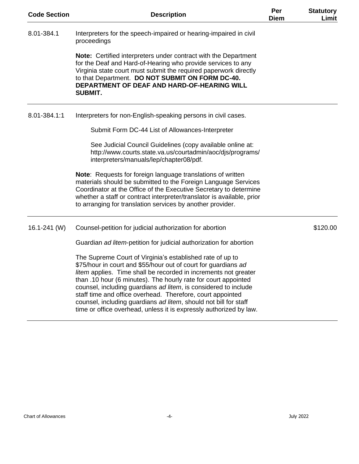| <b>Code Section</b> | <b>Description</b>                                                                                                                                                                                                                                                                                                                                                                                                                                                                                                                          | Per<br><b>Diem</b> | <b>Statutory</b><br>Limit |
|---------------------|---------------------------------------------------------------------------------------------------------------------------------------------------------------------------------------------------------------------------------------------------------------------------------------------------------------------------------------------------------------------------------------------------------------------------------------------------------------------------------------------------------------------------------------------|--------------------|---------------------------|
| 8.01-384.1          | Interpreters for the speech-impaired or hearing-impaired in civil<br>proceedings                                                                                                                                                                                                                                                                                                                                                                                                                                                            |                    |                           |
|                     | <b>Note:</b> Certified interpreters under contract with the Department<br>for the Deaf and Hard-of-Hearing who provide services to any<br>Virginia state court must submit the required paperwork directly<br>to that Department. DO NOT SUBMIT ON FORM DC-40.<br>DEPARTMENT OF DEAF AND HARD-OF-HEARING WILL<br><b>SUBMIT.</b>                                                                                                                                                                                                             |                    |                           |
| 8.01-384.1:1        | Interpreters for non-English-speaking persons in civil cases.                                                                                                                                                                                                                                                                                                                                                                                                                                                                               |                    |                           |
|                     | Submit Form DC-44 List of Allowances-Interpreter                                                                                                                                                                                                                                                                                                                                                                                                                                                                                            |                    |                           |
|                     | See Judicial Council Guidelines (copy available online at:<br>http://www.courts.state.va.us/courtadmin/aoc/djs/programs/<br>interpreters/manuals/lep/chapter08/pdf.                                                                                                                                                                                                                                                                                                                                                                         |                    |                           |
|                     | Note: Requests for foreign language translations of written<br>materials should be submitted to the Foreign Language Services<br>Coordinator at the Office of the Executive Secretary to determine<br>whether a staff or contract interpreter/translator is available, prior<br>to arranging for translation services by another provider.                                                                                                                                                                                                  |                    |                           |
| $16.1 - 241$ (W)    | Counsel-petition for judicial authorization for abortion                                                                                                                                                                                                                                                                                                                                                                                                                                                                                    |                    | \$120.00                  |
|                     | Guardian ad litem-petition for judicial authorization for abortion                                                                                                                                                                                                                                                                                                                                                                                                                                                                          |                    |                           |
|                     | The Supreme Court of Virginia's established rate of up to<br>\$75/hour in court and \$55/hour out of court for guardians ad<br>litem applies. Time shall be recorded in increments not greater<br>than .10 hour (6 minutes). The hourly rate for court appointed<br>counsel, including guardians ad litem, is considered to include<br>staff time and office overhead. Therefore, court appointed<br>counsel, including guardians ad litem, should not bill for staff<br>time or office overhead, unless it is expressly authorized by law. |                    |                           |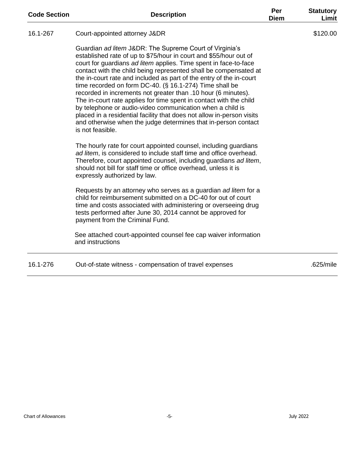| <b>Code Section</b> | <b>Description</b>                                                                                                                                                                                                                                                                                                                                                                                                                                                                                                                                                                                                                                                                                                                                                        | Per<br><b>Diem</b> | <b>Statutory</b><br>Limit |
|---------------------|---------------------------------------------------------------------------------------------------------------------------------------------------------------------------------------------------------------------------------------------------------------------------------------------------------------------------------------------------------------------------------------------------------------------------------------------------------------------------------------------------------------------------------------------------------------------------------------------------------------------------------------------------------------------------------------------------------------------------------------------------------------------------|--------------------|---------------------------|
| 16.1-267            | Court-appointed attorney J&DR                                                                                                                                                                                                                                                                                                                                                                                                                                                                                                                                                                                                                                                                                                                                             |                    | \$120.00                  |
|                     | Guardian ad litem J&DR: The Supreme Court of Virginia's<br>established rate of up to \$75/hour in court and \$55/hour out of<br>court for guardians ad litem applies. Time spent in face-to-face<br>contact with the child being represented shall be compensated at<br>the in-court rate and included as part of the entry of the in-court<br>time recorded on form DC-40. (§ 16.1-274) Time shall be<br>recorded in increments not greater than .10 hour (6 minutes).<br>The in-court rate applies for time spent in contact with the child<br>by telephone or audio-video communication when a child is<br>placed in a residential facility that does not allow in-person visits<br>and otherwise when the judge determines that in-person contact<br>is not feasible. |                    |                           |
|                     | The hourly rate for court appointed counsel, including guardians<br>ad litem, is considered to include staff time and office overhead.<br>Therefore, court appointed counsel, including guardians ad litem,<br>should not bill for staff time or office overhead, unless it is<br>expressly authorized by law.                                                                                                                                                                                                                                                                                                                                                                                                                                                            |                    |                           |
|                     | Requests by an attorney who serves as a guardian ad litem for a<br>child for reimbursement submitted on a DC-40 for out of court<br>time and costs associated with administering or overseeing drug<br>tests performed after June 30, 2014 cannot be approved for<br>payment from the Criminal Fund.                                                                                                                                                                                                                                                                                                                                                                                                                                                                      |                    |                           |
|                     | See attached court-appointed counsel fee cap waiver information<br>and instructions                                                                                                                                                                                                                                                                                                                                                                                                                                                                                                                                                                                                                                                                                       |                    |                           |
| 16.1-276            | Out-of-state witness - compensation of travel expenses                                                                                                                                                                                                                                                                                                                                                                                                                                                                                                                                                                                                                                                                                                                    |                    | .625/mile                 |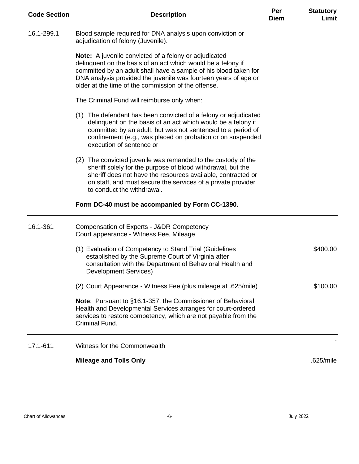| <b>Code Section</b> | <b>Description</b>                                                                                                                                                                                                                                                                                                         | Per<br><b>Diem</b> | <b>Statutory</b><br>Limit |
|---------------------|----------------------------------------------------------------------------------------------------------------------------------------------------------------------------------------------------------------------------------------------------------------------------------------------------------------------------|--------------------|---------------------------|
| 16.1-299.1          | Blood sample required for DNA analysis upon conviction or<br>adjudication of felony (Juvenile).                                                                                                                                                                                                                            |                    |                           |
|                     | <b>Note:</b> A juvenile convicted of a felony or adjudicated<br>delinquent on the basis of an act which would be a felony if<br>committed by an adult shall have a sample of his blood taken for<br>DNA analysis provided the juvenile was fourteen years of age or<br>older at the time of the commission of the offense. |                    |                           |
|                     | The Criminal Fund will reimburse only when:                                                                                                                                                                                                                                                                                |                    |                           |
|                     | (1) The defendant has been convicted of a felony or adjudicated<br>delinquent on the basis of an act which would be a felony if<br>committed by an adult, but was not sentenced to a period of<br>confinement (e.g., was placed on probation or on suspended<br>execution of sentence or                                   |                    |                           |
|                     | (2) The convicted juvenile was remanded to the custody of the<br>sheriff solely for the purpose of blood withdrawal, but the<br>sheriff does not have the resources available, contracted or<br>on staff, and must secure the services of a private provider<br>to conduct the withdrawal.                                 |                    |                           |
|                     | Form DC-40 must be accompanied by Form CC-1390.                                                                                                                                                                                                                                                                            |                    |                           |
| 16.1-361            | Compensation of Experts - J&DR Competency<br>Court appearance - Witness Fee, Mileage                                                                                                                                                                                                                                       |                    |                           |
|                     | (1) Evaluation of Competency to Stand Trial (Guidelines<br>established by the Supreme Court of Virginia after<br>consultation with the Department of Behavioral Health and<br>Development Services)                                                                                                                        |                    | \$400.00                  |
|                     | (2) Court Appearance - Witness Fee (plus mileage at .625/mile)                                                                                                                                                                                                                                                             |                    | \$100.00                  |
|                     | <b>Note:</b> Pursuant to §16.1-357, the Commissioner of Behavioral<br>Health and Developmental Services arranges for court-ordered<br>services to restore competency, which are not payable from the<br>Criminal Fund.                                                                                                     |                    |                           |
| 17.1-611            | Witness for the Commonwealth                                                                                                                                                                                                                                                                                               |                    |                           |
|                     | <b>Mileage and Tolls Only</b>                                                                                                                                                                                                                                                                                              |                    | .625/mile                 |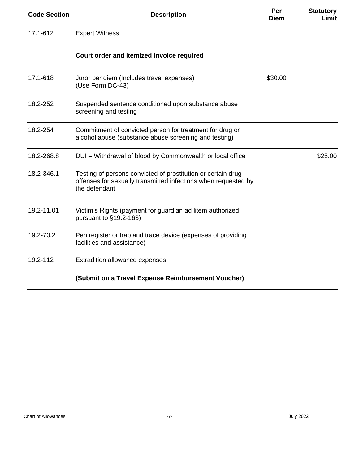| <b>Code Section</b> | <b>Description</b>                                                                                                                              | Per<br><b>Diem</b> | <b>Statutory</b><br>Limit |
|---------------------|-------------------------------------------------------------------------------------------------------------------------------------------------|--------------------|---------------------------|
| 17.1-612            | <b>Expert Witness</b>                                                                                                                           |                    |                           |
|                     | Court order and itemized invoice required                                                                                                       |                    |                           |
| 17.1-618            | Juror per diem (Includes travel expenses)<br>(Use Form DC-43)                                                                                   | \$30.00            |                           |
| 18.2-252            | Suspended sentence conditioned upon substance abuse<br>screening and testing                                                                    |                    |                           |
| 18.2-254            | Commitment of convicted person for treatment for drug or<br>alcohol abuse (substance abuse screening and testing)                               |                    |                           |
| 18.2-268.8          | DUI - Withdrawal of blood by Commonwealth or local office                                                                                       |                    | \$25.00                   |
| 18.2-346.1          | Testing of persons convicted of prostitution or certain drug<br>offenses for sexually transmitted infections when requested by<br>the defendant |                    |                           |
| 19.2-11.01          | Victim's Rights (payment for guardian ad litem authorized<br>pursuant to $§19.2-163)$                                                           |                    |                           |
| 19.2-70.2           | Pen register or trap and trace device (expenses of providing<br>facilities and assistance)                                                      |                    |                           |
| 19.2-112            | Extradition allowance expenses                                                                                                                  |                    |                           |
|                     | (Submit on a Travel Expense Reimbursement Voucher)                                                                                              |                    |                           |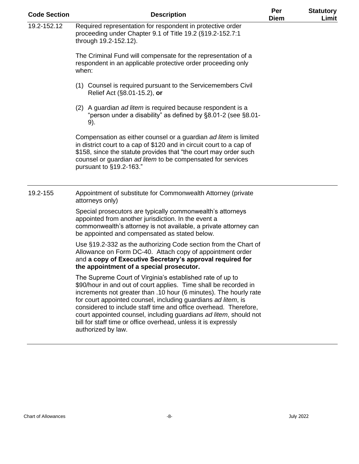| <b>Code Section</b> | <b>Description</b>                                                                                                                                                                                                                                                                                                                                                                                                                                                                                   | Per<br><b>Diem</b> | <b>Statutory</b><br>Limit |
|---------------------|------------------------------------------------------------------------------------------------------------------------------------------------------------------------------------------------------------------------------------------------------------------------------------------------------------------------------------------------------------------------------------------------------------------------------------------------------------------------------------------------------|--------------------|---------------------------|
| $19.2 - 152.12$     | Required representation for respondent in protective order<br>proceeding under Chapter 9.1 of Title 19.2 (§19.2-152.7:1<br>through 19.2-152.12).                                                                                                                                                                                                                                                                                                                                                     |                    |                           |
|                     | The Criminal Fund will compensate for the representation of a<br>respondent in an applicable protective order proceeding only<br>when:                                                                                                                                                                                                                                                                                                                                                               |                    |                           |
|                     | (1) Counsel is required pursuant to the Servicemembers Civil<br>Relief Act (§8.01-15.2), or                                                                                                                                                                                                                                                                                                                                                                                                          |                    |                           |
|                     | (2) A guardian ad litem is required because respondent is a<br>"person under a disability" as defined by §8.01-2 (see §8.01-<br>9).                                                                                                                                                                                                                                                                                                                                                                  |                    |                           |
|                     | Compensation as either counsel or a guardian ad litem is limited<br>in district court to a cap of \$120 and in circuit court to a cap of<br>\$158, since the statute provides that "the court may order such<br>counsel or guardian ad litem to be compensated for services<br>pursuant to §19.2-163."                                                                                                                                                                                               |                    |                           |
| 19.2-155            | Appointment of substitute for Commonwealth Attorney (private<br>attorneys only)                                                                                                                                                                                                                                                                                                                                                                                                                      |                    |                           |
|                     | Special prosecutors are typically commonwealth's attorneys<br>appointed from another jurisdiction. In the event a<br>commonwealth's attorney is not available, a private attorney can<br>be appointed and compensated as stated below.                                                                                                                                                                                                                                                               |                    |                           |
|                     | Use §19.2-332 as the authorizing Code section from the Chart of<br>Allowance on Form DC-40. Attach copy of appointment order<br>and a copy of Executive Secretary's approval required for<br>the appointment of a special prosecutor.                                                                                                                                                                                                                                                                |                    |                           |
|                     | The Supreme Court of Virginia's established rate of up to<br>\$90/hour in and out of court applies. Time shall be recorded in<br>increments not greater than .10 hour (6 minutes). The hourly rate<br>for court appointed counsel, including guardians ad litem, is<br>considered to include staff time and office overhead. Therefore,<br>court appointed counsel, including guardians ad litem, should not<br>bill for staff time or office overhead, unless it is expressly<br>authorized by law. |                    |                           |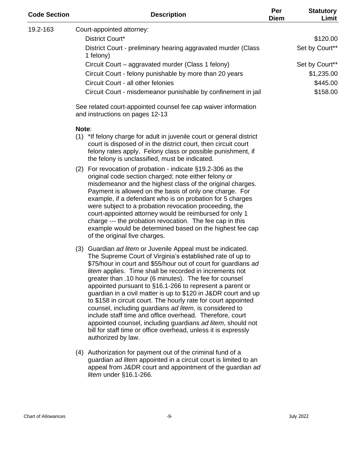| <b>Code Section</b> | <b>Description</b>                                                                                                                                                                                                                                                                                                                                                                                                                                                                                                                                                                                                                                                                                                                                                                            | Per<br><b>Diem</b> | <b>Statutory</b><br>Limit |
|---------------------|-----------------------------------------------------------------------------------------------------------------------------------------------------------------------------------------------------------------------------------------------------------------------------------------------------------------------------------------------------------------------------------------------------------------------------------------------------------------------------------------------------------------------------------------------------------------------------------------------------------------------------------------------------------------------------------------------------------------------------------------------------------------------------------------------|--------------------|---------------------------|
| 19.2-163            | Court-appointed attorney:                                                                                                                                                                                                                                                                                                                                                                                                                                                                                                                                                                                                                                                                                                                                                                     |                    |                           |
|                     | District Court*                                                                                                                                                                                                                                                                                                                                                                                                                                                                                                                                                                                                                                                                                                                                                                               |                    | \$120.00                  |
|                     | District Court - preliminary hearing aggravated murder (Class<br>1 felony)                                                                                                                                                                                                                                                                                                                                                                                                                                                                                                                                                                                                                                                                                                                    |                    | Set by Court**            |
|                     | Circuit Court – aggravated murder (Class 1 felony)                                                                                                                                                                                                                                                                                                                                                                                                                                                                                                                                                                                                                                                                                                                                            |                    | Set by Court**            |
|                     | Circuit Court - felony punishable by more than 20 years                                                                                                                                                                                                                                                                                                                                                                                                                                                                                                                                                                                                                                                                                                                                       |                    | \$1,235.00                |
|                     | Circuit Court - all other felonies                                                                                                                                                                                                                                                                                                                                                                                                                                                                                                                                                                                                                                                                                                                                                            |                    | \$445.00                  |
|                     | Circuit Court - misdemeanor punishable by confinement in jail                                                                                                                                                                                                                                                                                                                                                                                                                                                                                                                                                                                                                                                                                                                                 |                    | \$158.00                  |
|                     | See related court-appointed counsel fee cap waiver information<br>and instructions on pages 12-13                                                                                                                                                                                                                                                                                                                                                                                                                                                                                                                                                                                                                                                                                             |                    |                           |
|                     | Note:<br>(1) *If felony charge for adult in juvenile court or general district<br>court is disposed of in the district court, then circuit court<br>felony rates apply. Felony class or possible punishment, if<br>the felony is unclassified, must be indicated.                                                                                                                                                                                                                                                                                                                                                                                                                                                                                                                             |                    |                           |
|                     | (2) For revocation of probation - indicate $\S$ 19.2-306 as the<br>original code section charged; note either felony or<br>misdemeanor and the highest class of the original charges.<br>Payment is allowed on the basis of only one charge. For<br>example, if a defendant who is on probation for 5 charges<br>were subject to a probation revocation proceeding, the<br>court-appointed attorney would be reimbursed for only 1<br>charge --- the probation revocation. The fee cap in this<br>example would be determined based on the highest fee cap<br>of the original five charges.                                                                                                                                                                                                   |                    |                           |
|                     | (3) Guardian ad litem or Juvenile Appeal must be indicated.<br>The Supreme Court of Virginia's established rate of up to<br>\$75/hour in court and \$55/hour out of court for guardians ad<br>litem applies. Time shall be recorded in increments not<br>greater than .10 hour (6 minutes). The fee for counsel<br>appointed pursuant to §16.1-266 to represent a parent or<br>guardian in a civil matter is up to \$120 in J&DR court and up<br>to \$158 in circuit court. The hourly rate for court appointed<br>counsel, including guardians ad litem, is considered to<br>include staff time and office overhead. Therefore, court<br>appointed counsel, including guardians ad litem, should not<br>bill for staff time or office overhead, unless it is expressly<br>authorized by law. |                    |                           |
|                     | (4) Authorization for payment out of the criminal fund of a<br>guardian ad litem appointed in a circuit court is limited to an<br>appeal from J&DR court and appointment of the guardian ad<br>litem under §16.1-266.                                                                                                                                                                                                                                                                                                                                                                                                                                                                                                                                                                         |                    |                           |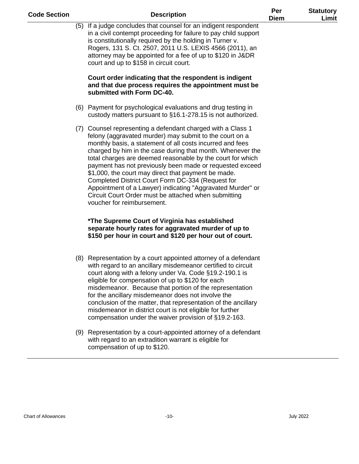| <b>Code Section</b>        | <b>Description</b>                                                                                                                                                                                                                                                                                                                                                                                                                                                                                                                                                                                                                          | Per<br><b>Diem</b> | <b>Statutory</b><br>Limit |
|----------------------------|---------------------------------------------------------------------------------------------------------------------------------------------------------------------------------------------------------------------------------------------------------------------------------------------------------------------------------------------------------------------------------------------------------------------------------------------------------------------------------------------------------------------------------------------------------------------------------------------------------------------------------------------|--------------------|---------------------------|
|                            | (5) If a judge concludes that counsel for an indigent respondent<br>in a civil contempt proceeding for failure to pay child support<br>is constitutionally required by the holding in Turner v.<br>Rogers, 131 S. Ct. 2507, 2011 U.S. LEXIS 4566 (2011), an<br>attorney may be appointed for a fee of up to \$120 in J&DR<br>court and up to \$158 in circuit court.                                                                                                                                                                                                                                                                        |                    |                           |
|                            | Court order indicating that the respondent is indigent<br>and that due process requires the appointment must be<br>submitted with Form DC-40.                                                                                                                                                                                                                                                                                                                                                                                                                                                                                               |                    |                           |
|                            | (6) Payment for psychological evaluations and drug testing in<br>custody matters pursuant to §16.1-278.15 is not authorized.                                                                                                                                                                                                                                                                                                                                                                                                                                                                                                                |                    |                           |
|                            | (7) Counsel representing a defendant charged with a Class 1<br>felony (aggravated murder) may submit to the court on a<br>monthly basis, a statement of all costs incurred and fees<br>charged by him in the case during that month. Whenever the<br>total charges are deemed reasonable by the court for which<br>payment has not previously been made or requested exceed<br>\$1,000, the court may direct that payment be made.<br>Completed District Court Form DC-334 (Request for<br>Appointment of a Lawyer) indicating "Aggravated Murder" or<br>Circuit Court Order must be attached when submitting<br>voucher for reimbursement. |                    |                           |
|                            | *The Supreme Court of Virginia has established<br>separate hourly rates for aggravated murder of up to<br>\$150 per hour in court and \$120 per hour out of court.                                                                                                                                                                                                                                                                                                                                                                                                                                                                          |                    |                           |
|                            | (8) Representation by a court appointed attorney of a defendant<br>with regard to an ancillary misdemeanor certified to circuit<br>court along with a felony under Va. Code §19.2-190.1 is<br>eligible for compensation of up to \$120 for each<br>misdemeanor. Because that portion of the representation<br>for the ancillary misdemeanor does not involve the<br>conclusion of the matter, that representation of the ancillary<br>misdemeanor in district court is not eligible for further<br>compensation under the waiver provision of §19.2-163.                                                                                    |                    |                           |
|                            | (9) Representation by a court-appointed attorney of a defendant<br>with regard to an extradition warrant is eligible for<br>compensation of up to \$120.                                                                                                                                                                                                                                                                                                                                                                                                                                                                                    |                    |                           |
|                            |                                                                                                                                                                                                                                                                                                                                                                                                                                                                                                                                                                                                                                             |                    |                           |
|                            |                                                                                                                                                                                                                                                                                                                                                                                                                                                                                                                                                                                                                                             |                    |                           |
| <b>Chart of Allowances</b> | $-10-$                                                                                                                                                                                                                                                                                                                                                                                                                                                                                                                                                                                                                                      |                    | <b>July 2022</b>          |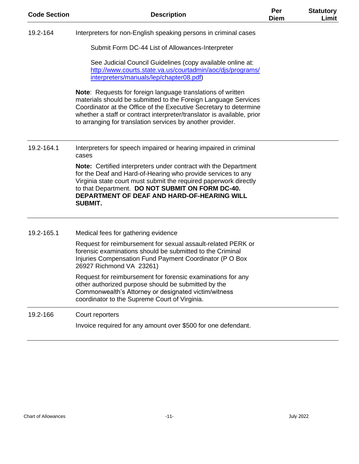| <b>Code Section</b> | <b>Description</b>                                                                                                                                                                                                                                                                                                                         | Per<br><b>Diem</b> | <b>Statutory</b><br>Limit |
|---------------------|--------------------------------------------------------------------------------------------------------------------------------------------------------------------------------------------------------------------------------------------------------------------------------------------------------------------------------------------|--------------------|---------------------------|
| 19.2-164            | Interpreters for non-English speaking persons in criminal cases                                                                                                                                                                                                                                                                            |                    |                           |
|                     | Submit Form DC-44 List of Allowances-Interpreter                                                                                                                                                                                                                                                                                           |                    |                           |
|                     | See Judicial Council Guidelines (copy available online at:<br>http://www.courts.state.va.us/courtadmin/aoc/djs/programs/<br>interpreters/manuals/lep/chapter08.pdf)                                                                                                                                                                        |                    |                           |
|                     | Note: Requests for foreign language translations of written<br>materials should be submitted to the Foreign Language Services<br>Coordinator at the Office of the Executive Secretary to determine<br>whether a staff or contract interpreter/translator is available, prior<br>to arranging for translation services by another provider. |                    |                           |
| 19.2-164.1          | Interpreters for speech impaired or hearing impaired in criminal<br>cases                                                                                                                                                                                                                                                                  |                    |                           |
|                     | <b>Note:</b> Certified interpreters under contract with the Department<br>for the Deaf and Hard-of-Hearing who provide services to any<br>Virginia state court must submit the required paperwork directly<br>to that Department. DO NOT SUBMIT ON FORM DC-40.<br>DEPARTMENT OF DEAF AND HARD-OF-HEARING WILL<br><b>SUBMIT.</b>            |                    |                           |
| 19.2-165.1          | Medical fees for gathering evidence                                                                                                                                                                                                                                                                                                        |                    |                           |
|                     | Request for reimbursement for sexual assault-related PERK or<br>forensic examinations should be submitted to the Criminal<br>Injuries Compensation Fund Payment Coordinator (P O Box<br>26927 Richmond VA 23261)                                                                                                                           |                    |                           |
|                     | Request for reimbursement for forensic examinations for any<br>other authorized purpose should be submitted by the<br>Commonwealth's Attorney or designated victim/witness<br>coordinator to the Supreme Court of Virginia.                                                                                                                |                    |                           |
| 19.2-166            | Court reporters                                                                                                                                                                                                                                                                                                                            |                    |                           |
|                     | Invoice required for any amount over \$500 for one defendant.                                                                                                                                                                                                                                                                              |                    |                           |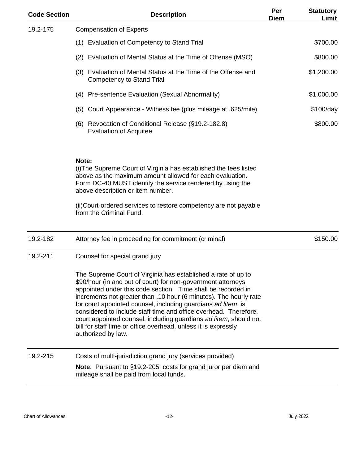| <b>Code Section</b> | <b>Description</b>                                                                                                                                                                                                                                                                                                                                                                                                                                                                                                                                                   | Per<br><b>Diem</b> | <b>Statutory</b><br>Limit |
|---------------------|----------------------------------------------------------------------------------------------------------------------------------------------------------------------------------------------------------------------------------------------------------------------------------------------------------------------------------------------------------------------------------------------------------------------------------------------------------------------------------------------------------------------------------------------------------------------|--------------------|---------------------------|
| 19.2-175            | <b>Compensation of Experts</b>                                                                                                                                                                                                                                                                                                                                                                                                                                                                                                                                       |                    |                           |
|                     | (1) Evaluation of Competency to Stand Trial                                                                                                                                                                                                                                                                                                                                                                                                                                                                                                                          |                    | \$700.00                  |
|                     | (2) Evaluation of Mental Status at the Time of Offense (MSO)                                                                                                                                                                                                                                                                                                                                                                                                                                                                                                         |                    | \$800.00                  |
|                     | (3) Evaluation of Mental Status at the Time of the Offense and<br><b>Competency to Stand Trial</b>                                                                                                                                                                                                                                                                                                                                                                                                                                                                   |                    | \$1,200.00                |
|                     | (4) Pre-sentence Evaluation (Sexual Abnormality)                                                                                                                                                                                                                                                                                                                                                                                                                                                                                                                     |                    | \$1,000.00                |
|                     | Court Appearance - Witness fee (plus mileage at .625/mile)<br>(5)                                                                                                                                                                                                                                                                                                                                                                                                                                                                                                    |                    | \$100/day                 |
|                     | (6) Revocation of Conditional Release (§19.2-182.8)<br><b>Evaluation of Acquitee</b>                                                                                                                                                                                                                                                                                                                                                                                                                                                                                 |                    | \$800.00                  |
|                     | Note:<br>(i) The Supreme Court of Virginia has established the fees listed<br>above as the maximum amount allowed for each evaluation.<br>Form DC-40 MUST identify the service rendered by using the<br>above description or item number.<br>(ii) Court-ordered services to restore competency are not payable<br>from the Criminal Fund.                                                                                                                                                                                                                            |                    |                           |
| 19.2-182            | Attorney fee in proceeding for commitment (criminal)                                                                                                                                                                                                                                                                                                                                                                                                                                                                                                                 |                    | \$150.00                  |
| 19.2-211            | Counsel for special grand jury                                                                                                                                                                                                                                                                                                                                                                                                                                                                                                                                       |                    |                           |
|                     | The Supreme Court of Virginia has established a rate of up to<br>\$90/hour (in and out of court) for non-government attorneys<br>appointed under this code section. Time shall be recorded in<br>increments not greater than .10 hour (6 minutes). The hourly rate<br>for court appointed counsel, including guardians ad litem, is<br>considered to include staff time and office overhead. Therefore,<br>court appointed counsel, including guardians ad litem, should not<br>bill for staff time or office overhead, unless it is expressly<br>authorized by law. |                    |                           |
| 19.2-215            | Costs of multi-jurisdiction grand jury (services provided)                                                                                                                                                                                                                                                                                                                                                                                                                                                                                                           |                    |                           |
|                     | <b>Note:</b> Pursuant to §19.2-205, costs for grand juror per diem and<br>mileage shall be paid from local funds.                                                                                                                                                                                                                                                                                                                                                                                                                                                    |                    |                           |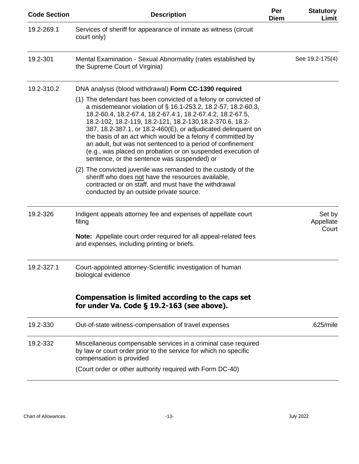| <b>Code Section</b> | <b>Description</b>                                                                                                                                                                                                                                                                                                                                                                                                                                                                                                                                                      | Per<br><b>Diem</b> | <b>Statutory</b><br>Limit    |
|---------------------|-------------------------------------------------------------------------------------------------------------------------------------------------------------------------------------------------------------------------------------------------------------------------------------------------------------------------------------------------------------------------------------------------------------------------------------------------------------------------------------------------------------------------------------------------------------------------|--------------------|------------------------------|
| 19.2-269.1          | Services of sheriff for appearance of inmate as witness (circuit<br>court only)                                                                                                                                                                                                                                                                                                                                                                                                                                                                                         |                    |                              |
| 19.2-301            | Mental Examination - Sexual Abnormality (rates established by<br>the Supreme Court of Virginia)                                                                                                                                                                                                                                                                                                                                                                                                                                                                         |                    | See 19.2-175(4)              |
| 19.2-310.2          | DNA analysis (blood withdrawal) Form CC-1390 required                                                                                                                                                                                                                                                                                                                                                                                                                                                                                                                   |                    |                              |
|                     | (1) The defendant has been convicted of a felony or convicted of<br>a misdemeanor violation of § 16.1-253.2, 18.2-57, 18.2-60.3,<br>18.2-60.4, 18.2-67.4, 18.2-67.4:1, 18.2-67.4:2, 18.2-67.5,<br>18.2-102, 18.2-119, 18.2-121, 18.2-130, 18.2-370.6, 18.2-<br>387, 18.2-387.1, or 18.2-460(E), or adjudicated delinguent on<br>the basis of an act which would be a felony if committed by<br>an adult, but was not sentenced to a period of confinement<br>(e.g., was placed on probation or on suspended execution of<br>sentence, or the sentence was suspended) or |                    |                              |
|                     | (2) The convicted juvenile was remanded to the custody of the<br>sheriff who does not have the resources available,<br>contracted or on staff, and must have the withdrawal<br>conducted by an outside private source.                                                                                                                                                                                                                                                                                                                                                  |                    |                              |
| 19.2-326            | Indigent appeals attorney fee and expenses of appellate court<br>filing                                                                                                                                                                                                                                                                                                                                                                                                                                                                                                 |                    | Set by<br>Appellate<br>Court |
|                     | <b>Note:</b> Appellate court order required for all appeal-related fees<br>and expenses, including printing or briefs.                                                                                                                                                                                                                                                                                                                                                                                                                                                  |                    |                              |
| 19.2-327.1          | Court-appointed attorney-Scientific investigation of human<br>biological evidence                                                                                                                                                                                                                                                                                                                                                                                                                                                                                       |                    |                              |
|                     | Compensation is limited according to the caps set<br>for under Va. Code § 19.2-163 (see above).                                                                                                                                                                                                                                                                                                                                                                                                                                                                         |                    |                              |
| 19.2-330            | Out-of-state witness-compensation of travel expenses                                                                                                                                                                                                                                                                                                                                                                                                                                                                                                                    |                    | .625/mile                    |
| 19.2-332            | Miscellaneous compensable services in a criminal case required<br>by law or court order prior to the service for which no specific<br>compensation is provided                                                                                                                                                                                                                                                                                                                                                                                                          |                    |                              |
|                     | (Court order or other authority required with Form DC-40)                                                                                                                                                                                                                                                                                                                                                                                                                                                                                                               |                    |                              |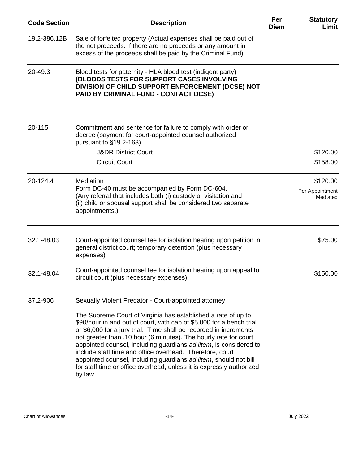| <b>Code Section</b> | <b>Description</b>                                                                                                                                                                                                                                                                                                                                                                                                                                                                                                                                                     | Per<br><b>Diem</b> | <b>Statutory</b><br>Limit   |
|---------------------|------------------------------------------------------------------------------------------------------------------------------------------------------------------------------------------------------------------------------------------------------------------------------------------------------------------------------------------------------------------------------------------------------------------------------------------------------------------------------------------------------------------------------------------------------------------------|--------------------|-----------------------------|
| 19.2-386.12B        | Sale of forfeited property (Actual expenses shall be paid out of<br>the net proceeds. If there are no proceeds or any amount in<br>excess of the proceeds shall be paid by the Criminal Fund)                                                                                                                                                                                                                                                                                                                                                                          |                    |                             |
| 20-49.3             | Blood tests for paternity - HLA blood test (indigent party)<br>(BLOODS TESTS FOR SUPPORT CASES INVOLVING<br>DIVISION OF CHILD SUPPORT ENFORCEMENT (DCSE) NOT<br>PAID BY CRIMINAL FUND - CONTACT DCSE)                                                                                                                                                                                                                                                                                                                                                                  |                    |                             |
| 20-115              | Commitment and sentence for failure to comply with order or<br>decree (payment for court-appointed counsel authorized<br>pursuant to §19.2-163)                                                                                                                                                                                                                                                                                                                                                                                                                        |                    |                             |
|                     | <b>J&amp;DR District Court</b>                                                                                                                                                                                                                                                                                                                                                                                                                                                                                                                                         |                    | \$120.00                    |
|                     | <b>Circuit Court</b>                                                                                                                                                                                                                                                                                                                                                                                                                                                                                                                                                   |                    | \$158.00                    |
| 20-124.4            | Mediation                                                                                                                                                                                                                                                                                                                                                                                                                                                                                                                                                              |                    | \$120.00                    |
|                     | Form DC-40 must be accompanied by Form DC-604.<br>(Any referral that includes both (i) custody or visitation and<br>(ii) child or spousal support shall be considered two separate<br>appointments.)                                                                                                                                                                                                                                                                                                                                                                   |                    | Per Appointment<br>Mediated |
| 32.1-48.03          | Court-appointed counsel fee for isolation hearing upon petition in<br>general district court; temporary detention (plus necessary<br>expenses)                                                                                                                                                                                                                                                                                                                                                                                                                         |                    | \$75.00                     |
| 32.1-48.04          | Court-appointed counsel fee for isolation hearing upon appeal to<br>circuit court (plus necessary expenses)                                                                                                                                                                                                                                                                                                                                                                                                                                                            |                    | \$150.00                    |
| 37.2-906            | Sexually Violent Predator - Court-appointed attorney                                                                                                                                                                                                                                                                                                                                                                                                                                                                                                                   |                    |                             |
|                     | The Supreme Court of Virginia has established a rate of up to<br>\$90/hour in and out of court, with cap of \$5,000 for a bench trial<br>or \$6,000 for a jury trial. Time shall be recorded in increments<br>not greater than .10 hour (6 minutes). The hourly rate for court<br>appointed counsel, including guardians ad litem, is considered to<br>include staff time and office overhead. Therefore, court<br>appointed counsel, including guardians ad litem, should not bill<br>for staff time or office overhead, unless it is expressly authorized<br>by law. |                    |                             |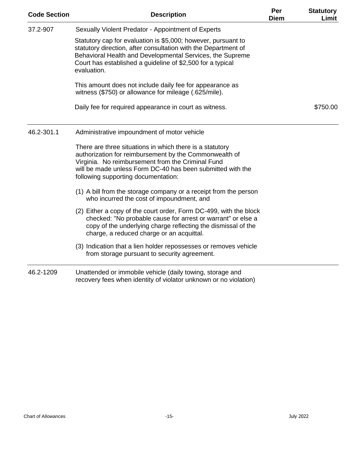| <b>Code Section</b> | <b>Description</b>                                                                                                                                                                                                                                                           | Per<br><b>Diem</b> | <b>Statutory</b><br>Limit |
|---------------------|------------------------------------------------------------------------------------------------------------------------------------------------------------------------------------------------------------------------------------------------------------------------------|--------------------|---------------------------|
| 37.2-907            | Sexually Violent Predator - Appointment of Experts                                                                                                                                                                                                                           |                    |                           |
|                     | Statutory cap for evaluation is \$5,000; however, pursuant to<br>statutory direction, after consultation with the Department of<br>Behavioral Health and Developmental Services, the Supreme<br>Court has established a guideline of \$2,500 for a typical<br>evaluation.    |                    |                           |
|                     | This amount does not include daily fee for appearance as<br>witness (\$750) or allowance for mileage (.625/mile).                                                                                                                                                            |                    |                           |
|                     | Daily fee for required appearance in court as witness.                                                                                                                                                                                                                       |                    | \$750.00                  |
| 46.2-301.1          | Administrative impoundment of motor vehicle                                                                                                                                                                                                                                  |                    |                           |
|                     | There are three situations in which there is a statutory<br>authorization for reimbursement by the Commonwealth of<br>Virginia. No reimbursement from the Criminal Fund<br>will be made unless Form DC-40 has been submitted with the<br>following supporting documentation: |                    |                           |
|                     | (1) A bill from the storage company or a receipt from the person<br>who incurred the cost of impoundment, and                                                                                                                                                                |                    |                           |
|                     | (2) Either a copy of the court order, Form DC-499, with the block<br>checked: "No probable cause for arrest or warrant" or else a<br>copy of the underlying charge reflecting the dismissal of the<br>charge, a reduced charge or an acquittal.                              |                    |                           |
|                     | (3) Indication that a lien holder repossesses or removes vehicle<br>from storage pursuant to security agreement.                                                                                                                                                             |                    |                           |
| 46.2-1209           | Unattended or immobile vehicle (daily towing, storage and<br>recovery fees when identity of violator unknown or no violation)                                                                                                                                                |                    |                           |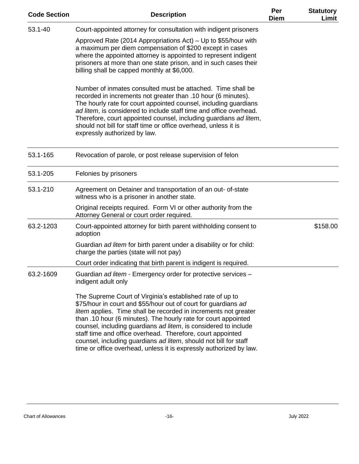| <b>Code Section</b> | <b>Description</b>                                                                                                                                                                                                                                                                                                                                                                                                                                                                                                                          | Per<br><b>Diem</b> | <b>Statutory</b><br>Limit |
|---------------------|---------------------------------------------------------------------------------------------------------------------------------------------------------------------------------------------------------------------------------------------------------------------------------------------------------------------------------------------------------------------------------------------------------------------------------------------------------------------------------------------------------------------------------------------|--------------------|---------------------------|
| 53.1-40             | Court-appointed attorney for consultation with indigent prisoners                                                                                                                                                                                                                                                                                                                                                                                                                                                                           |                    |                           |
|                     | Approved Rate (2014 Appropriations Act) – Up to \$55/hour with<br>a maximum per diem compensation of \$200 except in cases<br>where the appointed attorney is appointed to represent indigent<br>prisoners at more than one state prison, and in such cases their<br>billing shall be capped monthly at \$6,000.                                                                                                                                                                                                                            |                    |                           |
|                     | Number of inmates consulted must be attached. Time shall be<br>recorded in increments not greater than .10 hour (6 minutes).<br>The hourly rate for court appointed counsel, including guardians<br>ad litem, is considered to include staff time and office overhead.<br>Therefore, court appointed counsel, including guardians ad litem,<br>should not bill for staff time or office overhead, unless it is<br>expressly authorized by law.                                                                                              |                    |                           |
| 53.1-165            | Revocation of parole, or post release supervision of felon                                                                                                                                                                                                                                                                                                                                                                                                                                                                                  |                    |                           |
| 53.1-205            | Felonies by prisoners                                                                                                                                                                                                                                                                                                                                                                                                                                                                                                                       |                    |                           |
| 53.1-210            | Agreement on Detainer and transportation of an out- of-state<br>witness who is a prisoner in another state.                                                                                                                                                                                                                                                                                                                                                                                                                                 |                    |                           |
|                     | Original receipts required. Form VI or other authority from the<br>Attorney General or court order required.                                                                                                                                                                                                                                                                                                                                                                                                                                |                    |                           |
| 63.2-1203           | Court-appointed attorney for birth parent withholding consent to<br>adoption                                                                                                                                                                                                                                                                                                                                                                                                                                                                |                    | \$158.00                  |
|                     | Guardian ad litem for birth parent under a disability or for child:<br>charge the parties (state will not pay)                                                                                                                                                                                                                                                                                                                                                                                                                              |                    |                           |
|                     | Court order indicating that birth parent is indigent is required.                                                                                                                                                                                                                                                                                                                                                                                                                                                                           |                    |                           |
| 63.2-1609           | Guardian ad litem - Emergency order for protective services -<br>indigent adult only                                                                                                                                                                                                                                                                                                                                                                                                                                                        |                    |                           |
|                     | The Supreme Court of Virginia's established rate of up to<br>\$75/hour in court and \$55/hour out of court for guardians ad<br>litem applies. Time shall be recorded in increments not greater<br>than .10 hour (6 minutes). The hourly rate for court appointed<br>counsel, including guardians ad litem, is considered to include<br>staff time and office overhead. Therefore, court appointed<br>counsel, including guardians ad litem, should not bill for staff<br>time or office overhead, unless it is expressly authorized by law. |                    |                           |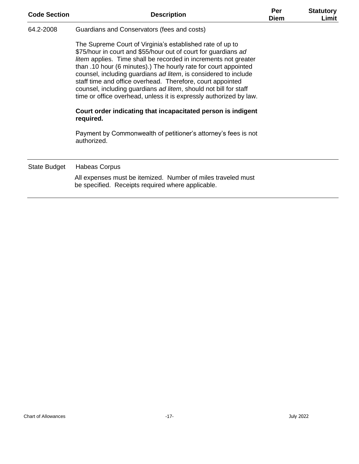| <b>Code Section</b> | <b>Description</b>                                                                                                                                                                                                                                                                                                                                                                                                                                                                                                                                                                                                        |  | <b>Statutory</b><br>Limit |
|---------------------|---------------------------------------------------------------------------------------------------------------------------------------------------------------------------------------------------------------------------------------------------------------------------------------------------------------------------------------------------------------------------------------------------------------------------------------------------------------------------------------------------------------------------------------------------------------------------------------------------------------------------|--|---------------------------|
| 64.2-2008           | Guardians and Conservators (fees and costs)                                                                                                                                                                                                                                                                                                                                                                                                                                                                                                                                                                               |  |                           |
|                     | The Supreme Court of Virginia's established rate of up to<br>\$75/hour in court and \$55/hour out of court for guardians ad<br>litem applies. Time shall be recorded in increments not greater<br>than .10 hour (6 minutes).) The hourly rate for court appointed<br>counsel, including guardians ad litem, is considered to include<br>staff time and office overhead. Therefore, court appointed<br>counsel, including guardians ad litem, should not bill for staff<br>time or office overhead, unless it is expressly authorized by law.<br>Court order indicating that incapacitated person is indigent<br>required. |  |                           |
|                     | Payment by Commonwealth of petitioner's attorney's fees is not<br>authorized.                                                                                                                                                                                                                                                                                                                                                                                                                                                                                                                                             |  |                           |
| State Budget        | Habeas Corpus                                                                                                                                                                                                                                                                                                                                                                                                                                                                                                                                                                                                             |  |                           |
|                     | All expenses must be itemized. Number of miles traveled must<br>be specified. Receipts required where applicable.                                                                                                                                                                                                                                                                                                                                                                                                                                                                                                         |  |                           |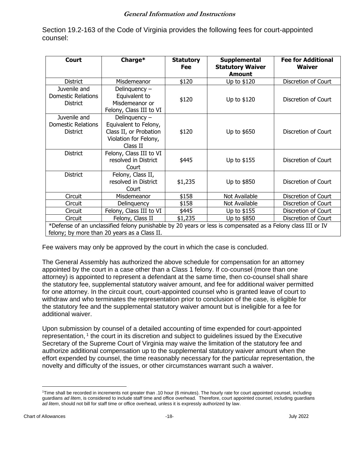## **General Information and Instructions**

Section 19.2-163 of the Code of Virginia provides the following fees for court-appointed counsel:

| Court                                                                                                                                                        | Charge*                                                                                                 | <b>Statutory</b><br>Fee | Supplemental<br><b>Statutory Waiver</b><br><b>Amount</b> | <b>Fee for Additional</b><br><b>Waiver</b> |  |  |  |
|--------------------------------------------------------------------------------------------------------------------------------------------------------------|---------------------------------------------------------------------------------------------------------|-------------------------|----------------------------------------------------------|--------------------------------------------|--|--|--|
| <b>District</b>                                                                                                                                              | Misdemeanor                                                                                             | \$120                   | Up to \$120                                              | Discretion of Court                        |  |  |  |
| Juvenile and<br><b>Domestic Relations</b><br><b>District</b>                                                                                                 | Delinquency -<br>Equivalent to<br>Misdemeanor or<br>Felony, Class III to VI                             | \$120                   | Up to \$120                                              | Discretion of Court                        |  |  |  |
| Juvenile and<br>Domestic Relations<br><b>District</b>                                                                                                        | Delinquency $-$<br>Equivalent to Felony,<br>Class II, or Probation<br>Violation for Felony,<br>Class II | \$120                   | Up to \$650                                              | Discretion of Court                        |  |  |  |
| <b>District</b>                                                                                                                                              | Felony, Class III to VI<br>resolved in District<br>Court                                                | \$445                   | Up to \$155                                              | Discretion of Court                        |  |  |  |
| <b>District</b>                                                                                                                                              | Felony, Class II,<br>resolved in District<br>Court                                                      | \$1,235                 | Up to \$850                                              | Discretion of Court                        |  |  |  |
| Circuit                                                                                                                                                      | Misdemeanor                                                                                             | \$158                   | Not Available                                            | Discretion of Court                        |  |  |  |
| Circuit                                                                                                                                                      | Delinguency                                                                                             | \$158                   | Not Available                                            | Discretion of Court                        |  |  |  |
| Circuit                                                                                                                                                      | Felony, Class III to VI                                                                                 | \$445                   | Up to \$155                                              | Discretion of Court                        |  |  |  |
| Circuit                                                                                                                                                      | Felony, Class II                                                                                        | \$1,235                 | Up to \$850                                              | Discretion of Court                        |  |  |  |
| *Defense of an unclassified felony punishable by 20 years or less is compensated as a Felony class III or IV<br>felony; by more than 20 years as a Class II. |                                                                                                         |                         |                                                          |                                            |  |  |  |

Fee waivers may only be approved by the court in which the case is concluded.

The General Assembly has authorized the above schedule for compensation for an attorney appointed by the court in a case other than a Class 1 felony. If co-counsel (more than one attorney) is appointed to represent a defendant at the same time, then co-counsel shall share the statutory fee, supplemental statutory waiver amount, and fee for additional waiver permitted for one attorney. In the circuit court, court-appointed counsel who is granted leave of court to withdraw and who terminates the representation prior to conclusion of the case, is eligible for the statutory fee and the supplemental statutory waiver amount but is ineligible for a fee for additional waiver.

Upon submission by counsel of a detailed accounting of time expended for court-appointed representation,  $1$  the court in its discretion and subject to guidelines issued by the Executive Secretary of the Supreme Court of Virginia may waive the limitation of the statutory fee and authorize additional compensation up to the supplemental statutory waiver amount when the effort expended by counsel, the time reasonably necessary for the particular representation, the novelty and difficulty of the issues, or other circumstances warrant such a waiver.

<sup>1</sup>Time shall be recorded in increments not greater than .10 hour (6 minutes). The hourly rate for court appointed counsel, including guardians *ad litem*, is considered to include staff time and office overhead. Therefore, court appointed counsel, including guardians *ad litem*, should not bill for staff time or office overhead, unless it is expressly authorized by law.